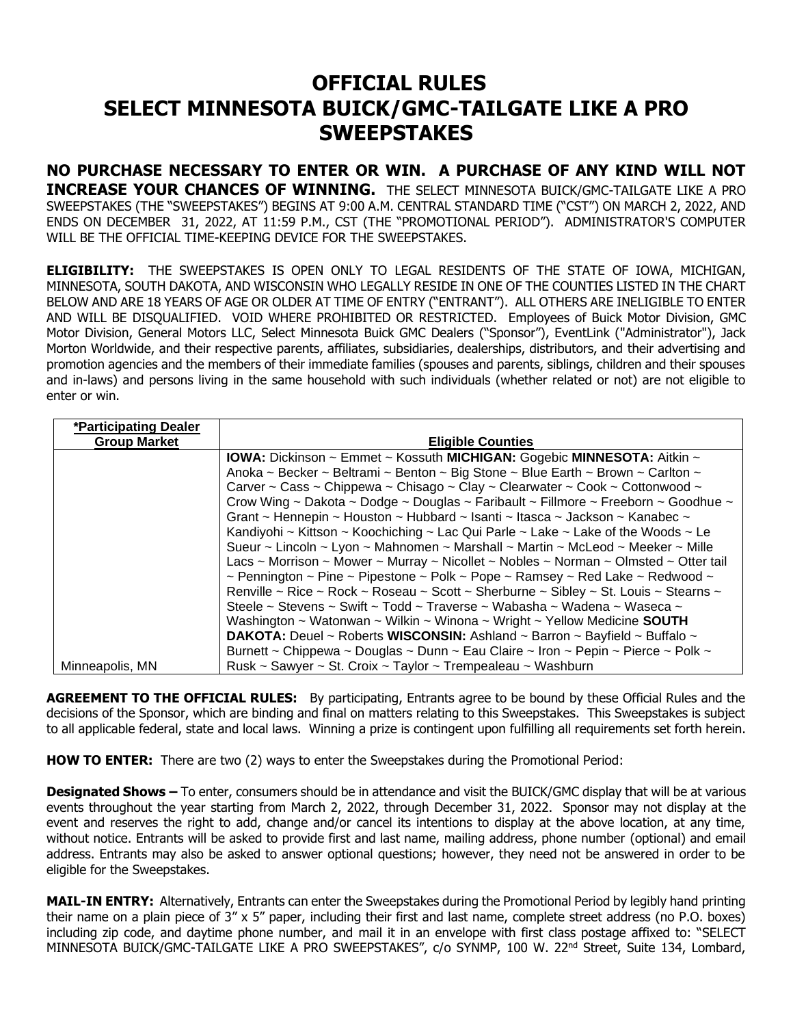## **OFFICIAL RULES SELECT MINNESOTA BUICK/GMC-TAILGATE LIKE A PRO SWEEPSTAKES**

**NO PURCHASE NECESSARY TO ENTER OR WIN. A PURCHASE OF ANY KIND WILL NOT INCREASE YOUR CHANCES OF WINNING.** THE SELECT MINNESOTA BUICK/GMC-TAILGATE LIKE A PRO SWEEPSTAKES (THE "SWEEPSTAKES") BEGINS AT 9:00 A.M. CENTRAL STANDARD TIME ("CST") ON MARCH 2, 2022, AND ENDS ON DECEMBER 31, 2022, AT 11:59 P.M., CST (THE "PROMOTIONAL PERIOD"). ADMINISTRATOR'S COMPUTER WILL BE THE OFFICIAL TIME-KEEPING DEVICE FOR THE SWEEPSTAKES.

**ELIGIBILITY:** THE SWEEPSTAKES IS OPEN ONLY TO LEGAL RESIDENTS OF THE STATE OF IOWA, MICHIGAN, MINNESOTA, SOUTH DAKOTA, AND WISCONSIN WHO LEGALLY RESIDE IN ONE OF THE COUNTIES LISTED IN THE CHART BELOW AND ARE 18 YEARS OF AGE OR OLDER AT TIME OF ENTRY ("ENTRANT"). ALL OTHERS ARE INELIGIBLE TO ENTER AND WILL BE DISQUALIFIED. VOID WHERE PROHIBITED OR RESTRICTED. Employees of Buick Motor Division, GMC Motor Division, General Motors LLC, Select Minnesota Buick GMC Dealers ("Sponsor"), EventLink ("Administrator"), Jack Morton Worldwide, and their respective parents, affiliates, subsidiaries, dealerships, distributors, and their advertising and promotion agencies and the members of their immediate families (spouses and parents, siblings, children and their spouses and in-laws) and persons living in the same household with such individuals (whether related or not) are not eligible to enter or win.

| *Participating Dealer |                                                                                                                            |
|-----------------------|----------------------------------------------------------------------------------------------------------------------------|
| <b>Group Market</b>   | <b>Eligible Counties</b>                                                                                                   |
|                       | <b>IOWA:</b> Dickinson ~ Emmet ~ Kossuth <b>MICHIGAN:</b> Gogebic <b>MINNESOTA:</b> Aitkin ~                               |
|                       | Anoka ~ Becker ~ Beltrami ~ Benton ~ Big Stone ~ Blue Earth ~ Brown ~ Carlton ~                                            |
|                       | Carver ~ Cass ~ Chippewa ~ Chisago ~ Clay ~ Clearwater ~ Cook ~ Cottonwood ~                                               |
|                       | Crow Wing ~ Dakota ~ Dodge ~ Douglas ~ Faribault ~ Fillmore ~ Freeborn ~ Goodhue ~                                         |
|                       | Grant ~ Hennepin ~ Houston ~ Hubbard ~ Isanti ~ Itasca ~ Jackson ~ Kanabec ~                                               |
|                       | Kandiyohi ~ Kittson ~ Koochiching ~ Lac Qui Parle ~ Lake ~ Lake of the Woods ~ Le                                          |
|                       | Sueur ~ Lincoln ~ Lyon ~ Mahnomen ~ Marshall ~ Martin ~ McLeod ~ Meeker ~ Mille                                            |
|                       | Lacs ~ Morrison ~ Mower ~ Murray ~ Nicollet ~ Nobles ~ Norman ~ Olmsted ~ Otter tail                                       |
|                       | $\sim$ Pennington $\sim$ Pine $\sim$ Pipestone $\sim$ Polk $\sim$ Pope $\sim$ Ramsey $\sim$ Red Lake $\sim$ Redwood $\sim$ |
|                       | Renville ~ Rice ~ Rock ~ Roseau ~ Scott ~ Sherburne ~ Sibley ~ St. Louis ~ Stearns ~                                       |
|                       | Steele ~ Stevens ~ Swift ~ Todd ~ Traverse ~ Wabasha ~ Wadena ~ Waseca ~                                                   |
|                       | Washington ~ Watonwan ~ Wilkin ~ Winona ~ Wright ~ Yellow Medicine SOUTH                                                   |
|                       | <b>DAKOTA:</b> Deuel ~ Roberts WISCONSIN: Ashland ~ Barron ~ Bayfield ~ Buffalo ~                                          |
|                       | Burnett ~ Chippewa ~ Douglas ~ Dunn ~ Eau Claire ~ Iron ~ Pepin ~ Pierce ~ Polk ~                                          |
| Minneapolis, MN       | Rusk ~ Sawyer ~ St. Croix ~ Taylor ~ Trempealeau ~ Washburn                                                                |

**AGREEMENT TO THE OFFICIAL RULES:** By participating, Entrants agree to be bound by these Official Rules and the decisions of the Sponsor, which are binding and final on matters relating to this Sweepstakes. This Sweepstakes is subject to all applicable federal, state and local laws. Winning a prize is contingent upon fulfilling all requirements set forth herein.

**HOW TO ENTER:** There are two (2) ways to enter the Sweepstakes during the Promotional Period:

**Designated Shows –** To enter, consumers should be in attendance and visit the BUICK/GMC display that will be at various events throughout the year starting from March 2, 2022, through December 31, 2022. Sponsor may not display at the event and reserves the right to add, change and/or cancel its intentions to display at the above location, at any time, without notice. Entrants will be asked to provide first and last name, mailing address, phone number (optional) and email address. Entrants may also be asked to answer optional questions; however, they need not be answered in order to be eligible for the Sweepstakes.

**MAIL-IN ENTRY:** Alternatively, Entrants can enter the Sweepstakes during the Promotional Period by legibly hand printing their name on a plain piece of 3" x 5" paper, including their first and last name, complete street address (no P.O. boxes) including zip code, and daytime phone number, and mail it in an envelope with first class postage affixed to: "SELECT MINNESOTA BUICK/GMC-TAILGATE LIKE A PRO SWEEPSTAKES", c/o SYNMP, 100 W. 22<sup>nd</sup> Street, Suite 134, Lombard,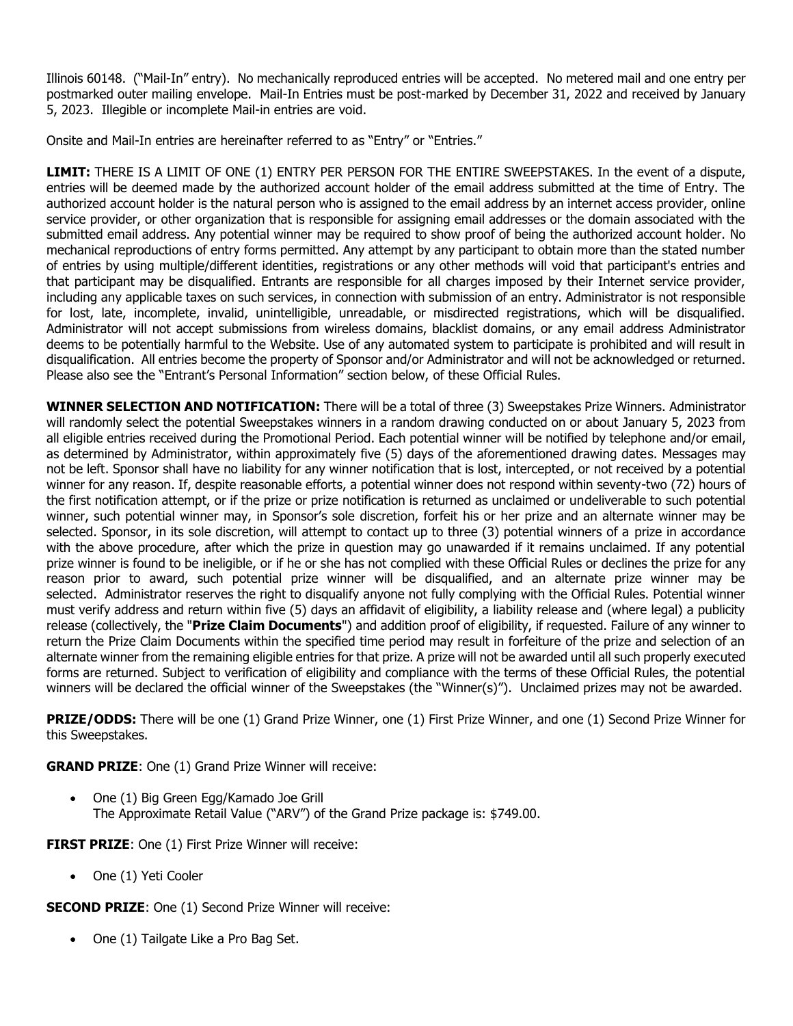Illinois 60148. ("Mail-In" entry). No mechanically reproduced entries will be accepted. No metered mail and one entry per postmarked outer mailing envelope. Mail-In Entries must be post-marked by December 31, 2022 and received by January 5, 2023. Illegible or incomplete Mail-in entries are void.

Onsite and Mail-In entries are hereinafter referred to as "Entry" or "Entries."

**LIMIT:** THERE IS A LIMIT OF ONE (1) ENTRY PER PERSON FOR THE ENTIRE SWEEPSTAKES. In the event of a dispute, entries will be deemed made by the authorized account holder of the email address submitted at the time of Entry. The authorized account holder is the natural person who is assigned to the email address by an internet access provider, online service provider, or other organization that is responsible for assigning email addresses or the domain associated with the submitted email address. Any potential winner may be required to show proof of being the authorized account holder. No mechanical reproductions of entry forms permitted. Any attempt by any participant to obtain more than the stated number of entries by using multiple/different identities, registrations or any other methods will void that participant's entries and that participant may be disqualified. Entrants are responsible for all charges imposed by their Internet service provider, including any applicable taxes on such services, in connection with submission of an entry. Administrator is not responsible for lost, late, incomplete, invalid, unintelligible, unreadable, or misdirected registrations, which will be disqualified. Administrator will not accept submissions from wireless domains, blacklist domains, or any email address Administrator deems to be potentially harmful to the Website. Use of any automated system to participate is prohibited and will result in disqualification. All entries become the property of Sponsor and/or Administrator and will not be acknowledged or returned. Please also see the "Entrant's Personal Information" section below, of these Official Rules.

**WINNER SELECTION AND NOTIFICATION:** There will be a total of three (3) Sweepstakes Prize Winners. Administrator will randomly select the potential Sweepstakes winners in a random drawing conducted on or about January 5, 2023 from all eligible entries received during the Promotional Period. Each potential winner will be notified by telephone and/or email, as determined by Administrator, within approximately five (5) days of the aforementioned drawing dates. Messages may not be left. Sponsor shall have no liability for any winner notification that is lost, intercepted, or not received by a potential winner for any reason. If, despite reasonable efforts, a potential winner does not respond within seventy-two (72) hours of the first notification attempt, or if the prize or prize notification is returned as unclaimed or undeliverable to such potential winner, such potential winner may, in Sponsor's sole discretion, forfeit his or her prize and an alternate winner may be selected. Sponsor, in its sole discretion, will attempt to contact up to three (3) potential winners of a prize in accordance with the above procedure, after which the prize in question may go unawarded if it remains unclaimed. If any potential prize winner is found to be ineligible, or if he or she has not complied with these Official Rules or declines the prize for any reason prior to award, such potential prize winner will be disqualified, and an alternate prize winner may be selected. Administrator reserves the right to disqualify anyone not fully complying with the Official Rules. Potential winner must verify address and return within five (5) days an affidavit of eligibility, a liability release and (where legal) a publicity release (collectively, the "**Prize Claim Documents**") and addition proof of eligibility, if requested. Failure of any winner to return the Prize Claim Documents within the specified time period may result in forfeiture of the prize and selection of an alternate winner from the remaining eligible entries for that prize. A prize will not be awarded until all such properly executed forms are returned. Subject to verification of eligibility and compliance with the terms of these Official Rules, the potential winners will be declared the official winner of the Sweepstakes (the "Winner(s)"). Unclaimed prizes may not be awarded.

**PRIZE/ODDS:** There will be one (1) Grand Prize Winner, one (1) First Prize Winner, and one (1) Second Prize Winner for this Sweepstakes.

**GRAND PRIZE**: One (1) Grand Prize Winner will receive:

• One (1) Big Green Egg/Kamado Joe Grill The Approximate Retail Value ("ARV") of the Grand Prize package is: \$749.00.

**FIRST PRIZE:** One (1) First Prize Winner will receive:

• One (1) Yeti Cooler

**SECOND PRIZE:** One (1) Second Prize Winner will receive:

• One (1) Tailgate Like a Pro Bag Set.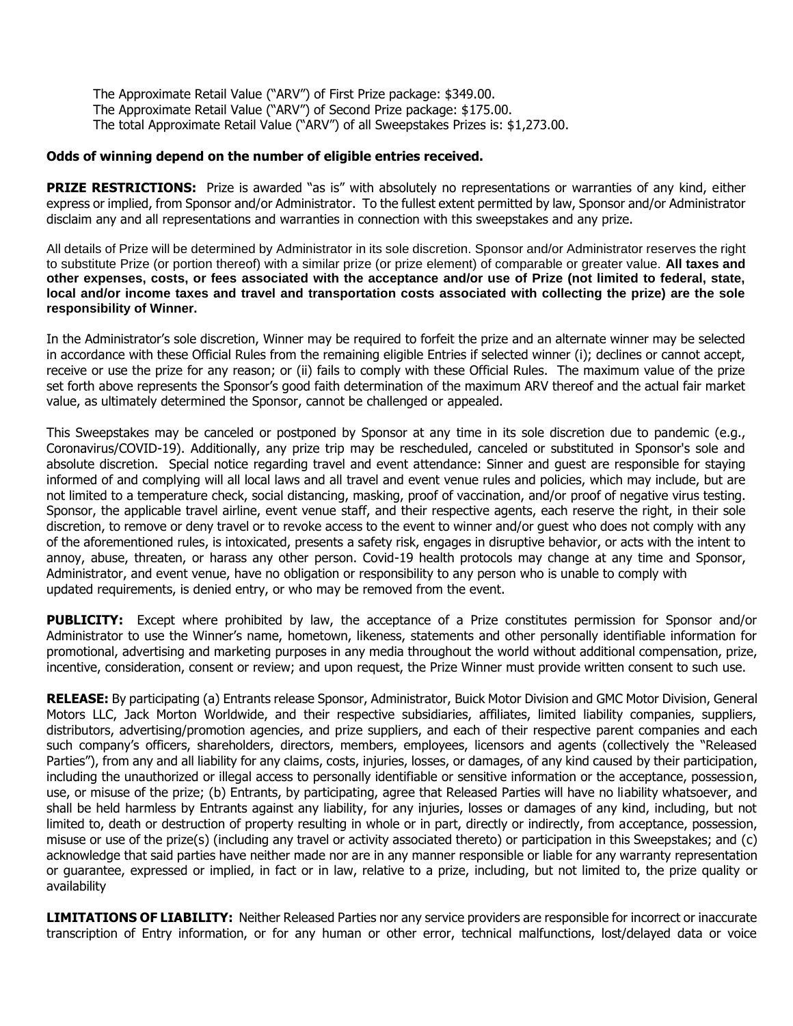The Approximate Retail Value ("ARV") of First Prize package: \$349.00. The Approximate Retail Value ("ARV") of Second Prize package: \$175.00. The total Approximate Retail Value ("ARV") of all Sweepstakes Prizes is: \$1,273.00.

## **Odds of winning depend on the number of eligible entries received.**

**PRIZE RESTRICTIONS:** Prize is awarded "as is" with absolutely no representations or warranties of any kind, either express or implied, from Sponsor and/or Administrator. To the fullest extent permitted by law, Sponsor and/or Administrator disclaim any and all representations and warranties in connection with this sweepstakes and any prize.

All details of Prize will be determined by Administrator in its sole discretion. Sponsor and/or Administrator reserves the right to substitute Prize (or portion thereof) with a similar prize (or prize element) of comparable or greater value. **All taxes and other expenses, costs, or fees associated with the acceptance and/or use of Prize (not limited to federal, state, local and/or income taxes and travel and transportation costs associated with collecting the prize) are the sole responsibility of Winner.**

In the Administrator's sole discretion, Winner may be required to forfeit the prize and an alternate winner may be selected in accordance with these Official Rules from the remaining eligible Entries if selected winner (i); declines or cannot accept, receive or use the prize for any reason; or (ii) fails to comply with these Official Rules. The maximum value of the prize set forth above represents the Sponsor's good faith determination of the maximum ARV thereof and the actual fair market value, as ultimately determined the Sponsor, cannot be challenged or appealed.

This Sweepstakes may be canceled or postponed by Sponsor at any time in its sole discretion due to pandemic (e.g., Coronavirus/COVID-19). Additionally, any prize trip may be rescheduled, canceled or substituted in Sponsor's sole and absolute discretion. Special notice regarding travel and event attendance: Sinner and guest are responsible for staying informed of and complying will all local laws and all travel and event venue rules and policies, which may include, but are not limited to a temperature check, social distancing, masking, proof of vaccination, and/or proof of negative virus testing. Sponsor, the applicable travel airline, event venue staff, and their respective agents, each reserve the right, in their sole discretion, to remove or deny travel or to revoke access to the event to winner and/or guest who does not comply with any of the aforementioned rules, is intoxicated, presents a safety risk, engages in disruptive behavior, or acts with the intent to annoy, abuse, threaten, or harass any other person. Covid-19 health protocols may change at any time and Sponsor, Administrator, and event venue, have no obligation or responsibility to any person who is unable to comply with updated requirements, is denied entry, or who may be removed from the event.

**PUBLICITY:** Except where prohibited by law, the acceptance of a Prize constitutes permission for Sponsor and/or Administrator to use the Winner's name, hometown, likeness, statements and other personally identifiable information for promotional, advertising and marketing purposes in any media throughout the world without additional compensation, prize, incentive, consideration, consent or review; and upon request, the Prize Winner must provide written consent to such use.

**RELEASE:** By participating (a) Entrants release Sponsor, Administrator, Buick Motor Division and GMC Motor Division, General Motors LLC, Jack Morton Worldwide, and their respective subsidiaries, affiliates, limited liability companies, suppliers, distributors, advertising/promotion agencies, and prize suppliers, and each of their respective parent companies and each such company's officers, shareholders, directors, members, employees, licensors and agents (collectively the "Released Parties"), from any and all liability for any claims, costs, injuries, losses, or damages, of any kind caused by their participation, including the unauthorized or illegal access to personally identifiable or sensitive information or the acceptance, possession, use, or misuse of the prize; (b) Entrants, by participating, agree that Released Parties will have no liability whatsoever, and shall be held harmless by Entrants against any liability, for any injuries, losses or damages of any kind, including, but not limited to, death or destruction of property resulting in whole or in part, directly or indirectly, from acceptance, possession, misuse or use of the prize(s) (including any travel or activity associated thereto) or participation in this Sweepstakes; and (c) acknowledge that said parties have neither made nor are in any manner responsible or liable for any warranty representation or guarantee, expressed or implied, in fact or in law, relative to a prize, including, but not limited to, the prize quality or availability

**LIMITATIONS OF LIABILITY:** Neither Released Parties nor any service providers are responsible for incorrect or inaccurate transcription of Entry information, or for any human or other error, technical malfunctions, lost/delayed data or voice